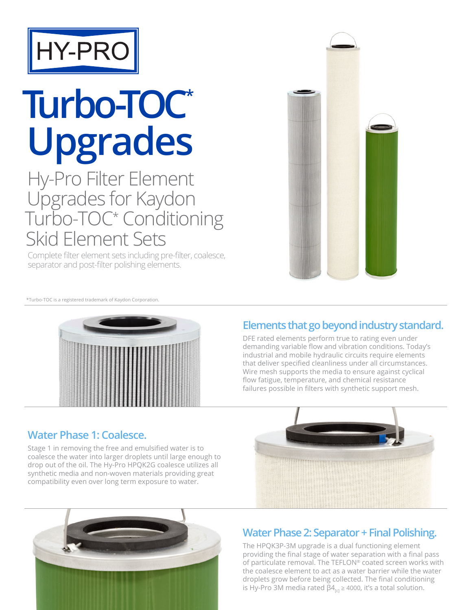

# **Turbo-TOC\* Upgrades**

Hy-Pro Filter Element Upgrades for Kaydon Turbo-TOC\* Conditioning Skid Element Sets

Complete filter element sets including pre-filter, coalesce, separator and post-filter polishing elements.



\*Turbo-TOC is a registered trademark of Kaydon Corporation.



#### **Elements that go beyond industry standard.**

DFE rated elements perform true to rating even under demanding variable flow and vibration conditions. Today's industrial and mobile hydraulic circuits require elements that deliver specified cleanliness under all circumstances. Wire mesh supports the media to ensure against cyclical flow fatigue, temperature, and chemical resistance failures possible in filters with synthetic support mesh.

#### **Water Phase 1: Coalesce.**

Stage 1 in removing the free and emulsified water is to coalesce the water into larger droplets until large enough to drop out of the oil. The Hy-Pro HPQK2G coalesce utilizes all synthetic media and non-woven materials providing great compatibility even over long term exposure to water.





#### **Water Phase 2: Separator + Final Polishing.**

The HPQK3P-3M upgrade is a dual functioning element providing the final stage of water separation with a final pass of particulate removal. The TEFLON® coated screen works with the coalesce element to act as a water barrier while the water droplets grow before being collected. The final conditioning is Hy-Pro 3M media rated  $\beta$ 4<sub>rcl</sub>  $\geq$  4000, it's a total solution.